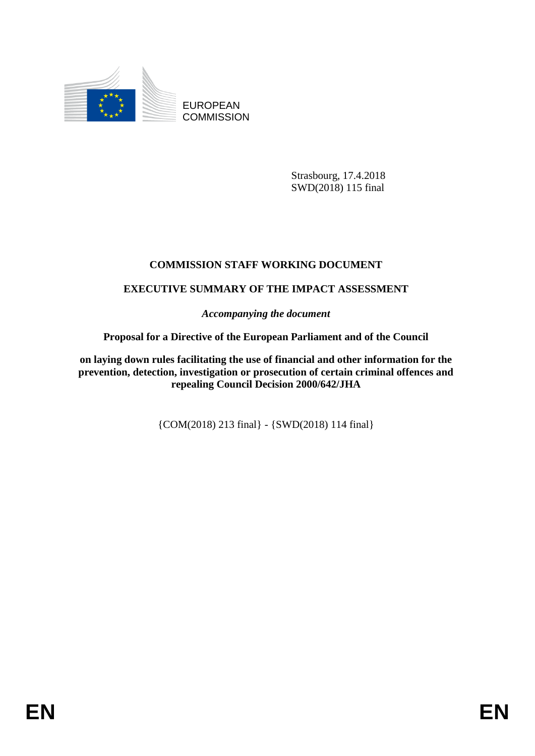

EUROPEAN **COMMISSION** 

> Strasbourg, 17.4.2018 SWD(2018) 115 final

# **COMMISSION STAFF WORKING DOCUMENT**

## **EXECUTIVE SUMMARY OF THE IMPACT ASSESSMENT**

*Accompanying the document*

## **Proposal for a Directive of the European Parliament and of the Council**

**on laying down rules facilitating the use of financial and other information for the prevention, detection, investigation or prosecution of certain criminal offences and repealing Council Decision 2000/642/JHA**

{COM(2018) 213 final} - {SWD(2018) 114 final}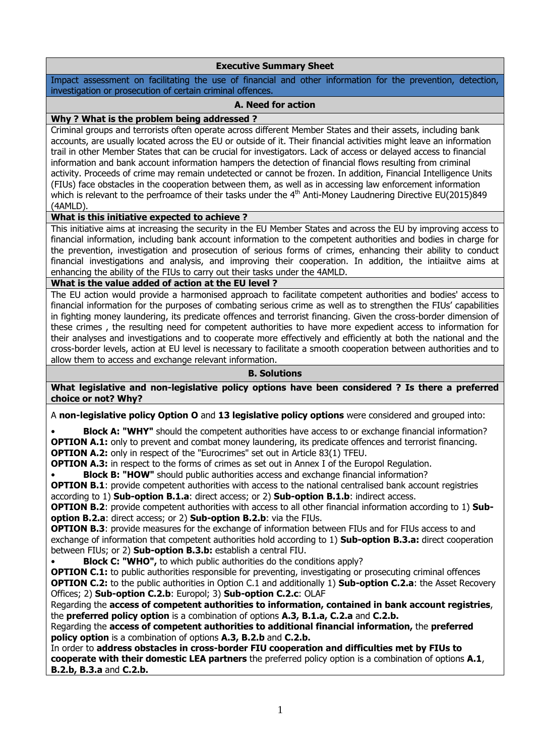## **Executive Summary Sheet**

Impact assessment on facilitating the use of financial and other information for the prevention, detection, investigation or prosecution of certain criminal offences.

### **A. Need for action**

### **Why ? What is the problem being addressed ?**

Criminal groups and terrorists often operate across different Member States and their assets, including bank accounts, are usually located across the EU or outside of it. Their financial activities might leave an information trail in other Member States that can be crucial for investigators. Lack of access or delayed access to financial information and bank account information hampers the detection of financial flows resulting from criminal activity. Proceeds of crime may remain undetected or cannot be frozen. In addition, Financial Intelligence Units (FIUs) face obstacles in the cooperation between them, as well as in accessing law enforcement information which is relevant to the perfroamce of their tasks under the 4<sup>th</sup> Anti-Money Laudnering Directive EU(2015)849 (4AMLD).

#### **What is this initiative expected to achieve ?**

This initiative aims at increasing the security in the EU Member States and across the EU by improving access to financial information, including bank account information to the competent authorities and bodies in charge for the prevention, investigation and prosecution of serious forms of crimes, enhancing their ability to conduct financial investigations and analysis, and improving their cooperation. In addition, the intiaiitve aims at enhancing the ability of the FIUs to carry out their tasks under the 4AMLD.

#### **What is the value added of action at the EU level ?**

The EU action would provide a harmonised approach to facilitate competent authorities and bodies' access to financial information for the purposes of combating serious crime as well as to strengthen the FIUs' capabilities in fighting money laundering, its predicate offences and terrorist financing. Given the cross-border dimension of these crimes , the resulting need for competent authorities to have more expedient access to information for their analyses and investigations and to cooperate more effectively and efficiently at both the national and the cross-border levels, action at EU level is necessary to facilitate a smooth cooperation between authorities and to allow them to access and exchange relevant information.

#### **B. Solutions**

**What legislative and non-legislative policy options have been considered ? Is there a preferred choice or not? Why?** 

A **non-legislative policy Option O** and **13 legislative policy options** were considered and grouped into:

**Block A: "WHY"** should the competent authorities have access to or exchange financial information? **OPTION A.1:** only to prevent and combat money laundering, its predicate offences and terrorist financing. **OPTION A.2:** only in respect of the "Eurocrimes" set out in Article 83(1) TFEU.

**OPTION A.3:** in respect to the forms of crimes as set out in Annex I of the Europol Regulation.

**Block B: "HOW"** should public authorities access and exchange financial information?

**OPTION B.1**: provide competent authorities with access to the national centralised bank account registries according to 1) **Sub-option B.1.a**: direct access; or 2) **Sub-option B.1.b**: indirect access.

**OPTION B.2**: provide competent authorities with access to all other financial information according to 1) **Suboption B.2.a**: direct access; or 2) **Sub-option B.2.b**: via the FIUs.

**OPTION B.3**: provide measures for the exchange of information between FIUs and for FIUs access to and exchange of information that competent authorities hold according to 1) **Sub-option B.3.a:** direct cooperation between FIUs; or 2) **Sub-option B.3.b:** establish a central FIU.

**Block C: "WHO",** to which public authorities do the conditions apply?

**OPTION C.1:** to public authorities responsible for preventing, investigating or prosecuting criminal offences **OPTION C.2:** to the public authorities in Option C.1 and additionally 1) **Sub-option C.2.a**: the Asset Recovery Offices; 2) **Sub-option C.2.b**: Europol; 3) **Sub-option C.2.c**: OLAF

Regarding the **access of competent authorities to information, contained in bank account registries**, the **preferred policy option** is a combination of options **A.3, B.1.a, C.2.a** and **C.2.b.**

Regarding the **access of competent authorities to additional financial information,** the **preferred policy option** is a combination of options **A.3, B.2.b** and **C.2.b.**

In order to **address obstacles in cross-border FIU cooperation and difficulties met by FIUs to cooperate with their domestic LEA partners** the preferred policy option is a combination of options **A.1**, **B.2.b, B.3.a** and **C.2.b.**